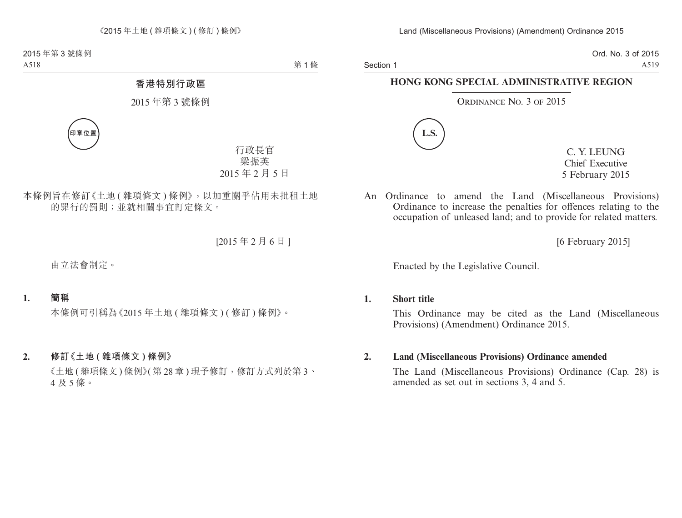Section 1

Ord. No. 3 of 2015 A519

## **HONG KONG SPECIAL ADMINISTRATIVE REGION**

ORDINANCE NO. 3 OF 2015



C. Y. LEUNG Chief Executive 5 February 2015

An Ordinance to amend the Land (Miscellaneous Provisions) Ordinance to increase the penalties for offences relating to the occupation of unleased land; and to provide for related matters.

[6 February 2015]

Enacted by the Legislative Council.

## **1. Short title**

This Ordinance may be cited as the Land (Miscellaneous Provisions) (Amendment) Ordinance 2015.

## **2. Land (Miscellaneous Provisions) Ordinance amended**

The Land (Miscellaneous Provisions) Ordinance (Cap. 28) is amended as set out in sections 3, 4 and 5.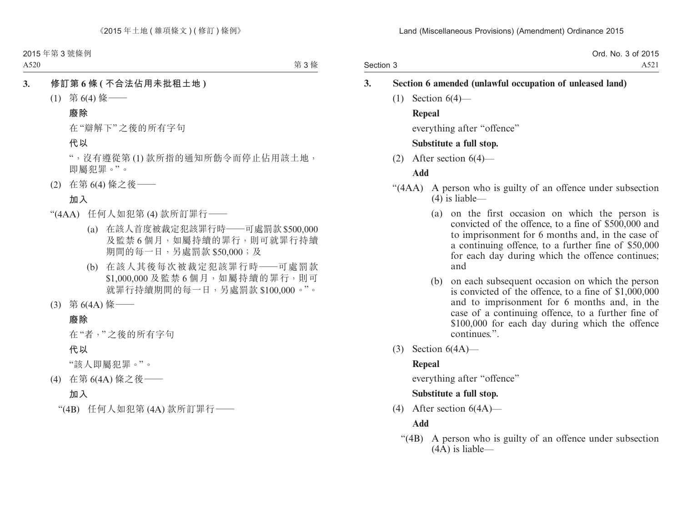Section 3 Ord. No. 3 of 2015 A521

## **3. Section 6 amended (unlawful occupation of unleased land)**

 $(1)$  Section  $6(4)$ —

## **Repeal**

everything after "offence"

#### **Substitute a full stop.**

(2) After section 6(4)—

## **Add**

- "(4AA) A person who is guilty of an offence under subsection (4) is liable—
	- (a) on the first occasion on which the person is convicted of the offence, to a fine of \$500,000 and to imprisonment for 6 months and, in the case of a continuing offence, to a further fine of \$50,000 for each day during which the offence continues; and
	- (b) on each subsequent occasion on which the person is convicted of the offence, to a fine of \$1,000,000 and to imprisonment for 6 months and, in the case of a continuing offence, to a further fine of \$100,000 for each day during which the offence continues.".
- (3) Section 6(4A)—

## **Repeal**

everything after "offence"

## **Substitute a full stop.**

(4) After section 6(4A)—

## **Add**

"(4B) A person who is guilty of an offence under subsection (4A) is liable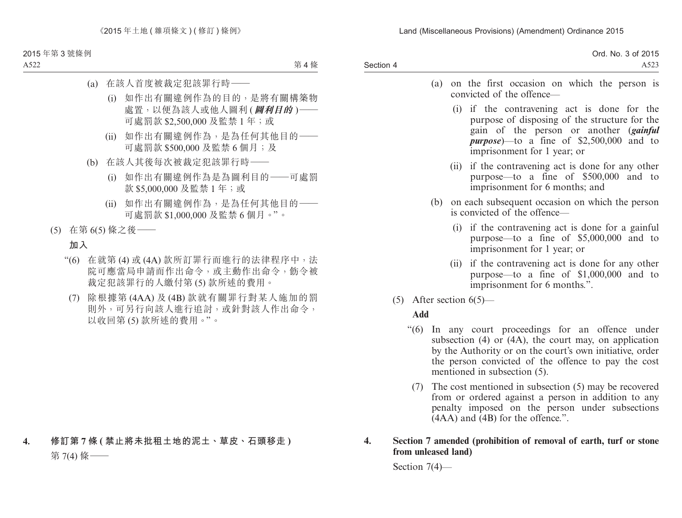Land (Miscellaneous Provisions) (Amendment) Ordinance 2015

|         | 6.201F<br>$N_{\Omega}$<br>Ord<br>. 3 of<br>20 I J<br>1 N V . |
|---------|--------------------------------------------------------------|
| Section | $\sim$                                                       |

- (a) on the first occasion on which the person is convicted of the offence—
	- (i) if the contravening act is done for the purpose of disposing of the structure for the gain of the person or another (*gainful purpose*)—to a fine of \$2,500,000 and to imprisonment for 1 year; or
	- (ii) if the contravening act is done for any other purpose—to a fine of \$500,000 and to imprisonment for 6 months; and
- (b) on each subsequent occasion on which the person is convicted of the offence—
	- (i) if the contravening act is done for a gainful purpose—to a fine of \$5,000,000 and to imprisonment for 1 year; or
	- (ii) if the contravening act is done for any other purpose—to a fine of \$1,000,000 and to imprisonment for 6 months.".
- $(5)$  After section  $6(5)$ —

## **Add**

- "(6) In any court proceedings for an offence under subsection (4) or (4A), the court may, on application by the Authority or on the court's own initiative, order the person convicted of the offence to pay the cost mentioned in subsection (5).
	- (7) The cost mentioned in subsection (5) may be recovered from or ordered against a person in addition to any penalty imposed on the person under subsections (4AA) and (4B) for the offence.".

#### **4. Section 7 amended (prohibition of removal of earth, turf or stone from unleased land)**

Section 7(4)—